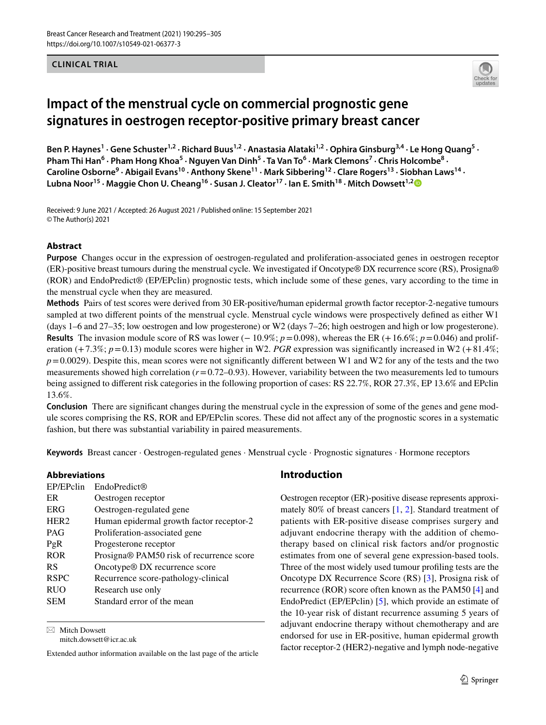**CLINICAL TRIAL**



# **Impact of the menstrual cycle on commercial prognostic gene signatures in oestrogen receptor‑positive primary breast cancer**

Ben P. Haynes<sup>1</sup> · Gene Schuster<sup>1,2</sup> · Richard Buus<sup>1,2</sup> · Anastasia Alataki<sup>1,2</sup> · Ophira Ginsburg<sup>3,4</sup> · Le Hong Quang<sup>5</sup> · Pham Thi Han<sup>6</sup> · Pham Hong Khoa<sup>5</sup> · Nguyen Van Dinh<sup>5</sup> · Ta Van To<sup>6</sup> · Mark Clemons<sup>7</sup> · Chris Holcombe<sup>8</sup> · Caroline Osborne<sup>9</sup> · Abigail Evans<sup>10</sup> · Anthony Skene<sup>11</sup> · Mark Sibbering<sup>12</sup> · Clare Rogers<sup>13</sup> · Siobhan Laws<sup>14</sup> · Lubna Noor<sup>15</sup> · Maggie Chon U. Cheang<sup>16</sup> · Susan J. Cleator<sup>17</sup> · Ian E. Smith<sup>18</sup> · Mitch Dowsett<sup>1,[2](http://orcid.org/0000-0003-4122-744X)</sup>

Received: 9 June 2021 / Accepted: 26 August 2021 / Published online: 15 September 2021 © The Author(s) 2021

## **Abstract**

**Purpose** Changes occur in the expression of oestrogen-regulated and proliferation-associated genes in oestrogen receptor (ER)-positive breast tumours during the menstrual cycle. We investigated if Oncotype® DX recurrence score (RS), Prosigna® (ROR) and EndoPredict® (EP/EPclin) prognostic tests, which include some of these genes, vary according to the time in the menstrual cycle when they are measured.

**Methods** Pairs of test scores were derived from 30 ER-positive/human epidermal growth factor receptor-2-negative tumours sampled at two diferent points of the menstrual cycle. Menstrual cycle windows were prospectively defned as either W1 (days 1–6 and 27–35; low oestrogen and low progesterone) or W2 (days 7–26; high oestrogen and high or low progesterone). **Results** The invasion module score of RS was lower (− 10.9%; *p*=0.098), whereas the ER (+16.6%; *p*=0.046) and proliferation (+7.3%;  $p = 0.13$ ) module scores were higher in W2. *PGR* expression was significantly increased in W2 (+81.4%;  $p=0.0029$ ). Despite this, mean scores were not significantly different between W1 and W2 for any of the tests and the two measurements showed high correlation (*r*=0.72–0.93). However, variability between the two measurements led to tumours being assigned to diferent risk categories in the following proportion of cases: RS 22.7%, ROR 27.3%, EP 13.6% and EPclin 13.6%.

**Conclusion** There are significant changes during the menstrual cycle in the expression of some of the genes and gene module scores comprising the RS, ROR and EP/EPclin scores. These did not afect any of the prognostic scores in a systematic fashion, but there was substantial variability in paired measurements.

**Keywords** Breast cancer · Oestrogen-regulated genes · Menstrual cycle · Prognostic signatures · Hormone receptors

## **Abbreviations**

| EP/EPclin        | EndoPredict                               |
|------------------|-------------------------------------------|
| ER               | Oestrogen receptor                        |
| <b>ERG</b>       | Oestrogen-regulated gene                  |
| HER <sub>2</sub> | Human epidermal growth factor receptor-2  |
| PAG              | Proliferation-associated gene             |
| PgR              | Progesterone receptor                     |
| <b>ROR</b>       | Prosigna® PAM50 risk of recurrence score  |
| <b>RS</b>        | Oncotype <sup>®</sup> DX recurrence score |
| <b>RSPC</b>      | Recurrence score-pathology-clinical       |
| <b>RUO</b>       | Research use only                         |
| <b>SEM</b>       | Standard error of the mean                |
|                  |                                           |

 $\boxtimes$  Mitch Dowsett mitch.dowsett@icr.ac.uk

Extended author information available on the last page of the article

# **Introduction**

Oestrogen receptor (ER)-positive disease represents approximately 80% of breast cancers [[1,](#page-8-0) [2](#page-9-0)]. Standard treatment of patients with ER-positive disease comprises surgery and adjuvant endocrine therapy with the addition of chemotherapy based on clinical risk factors and/or prognostic estimates from one of several gene expression-based tools. Three of the most widely used tumour profling tests are the Oncotype DX Recurrence Score (RS) [[3\]](#page-9-1), Prosigna risk of recurrence (ROR) score often known as the PAM50 [\[4](#page-9-2)] and EndoPredict (EP/EPclin) [\[5](#page-9-3)], which provide an estimate of the 10-year risk of distant recurrence assuming 5 years of adjuvant endocrine therapy without chemotherapy and are endorsed for use in ER-positive, human epidermal growth factor receptor-2 (HER2)-negative and lymph node-negative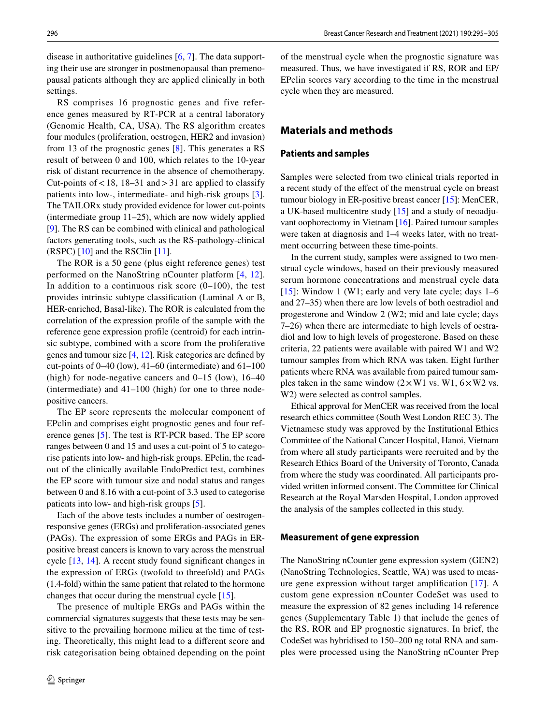RS comprises 16 prognostic genes and five reference genes measured by RT-PCR at a central laboratory (Genomic Health, CA, USA). The RS algorithm creates four modules (proliferation, oestrogen, HER2 and invasion) from 13 of the prognostic genes [\[8\]](#page-9-6). This generates a RS result of between 0 and 100, which relates to the 10-year risk of distant recurrence in the absence of chemotherapy. Cut-points of  $< 18$ , 18–31 and  $> 31$  are applied to classify patients into low-, intermediate- and high-risk groups [\[3](#page-9-1)]. The TAILORx study provided evidence for lower cut-points (intermediate group 11–25), which are now widely applied [\[9](#page-9-7)]. The RS can be combined with clinical and pathological factors generating tools, such as the RS-pathology-clinical (RSPC) [\[10](#page-9-8)] and the RSClin [[11\]](#page-9-9).

The ROR is a 50 gene (plus eight reference genes) test performed on the NanoString nCounter platform [[4,](#page-9-2) [12](#page-9-10)]. In addition to a continuous risk score  $(0-100)$ , the test provides intrinsic subtype classifcation (Luminal A or B, HER-enriched, Basal-like). The ROR is calculated from the correlation of the expression profle of the sample with the reference gene expression profle (centroid) for each intrinsic subtype, combined with a score from the proliferative genes and tumour size [[4,](#page-9-2) [12](#page-9-10)]. Risk categories are defned by cut-points of 0–40 (low), 41–60 (intermediate) and 61–100 (high) for node-negative cancers and  $0-15$  (low),  $16-40$ (intermediate) and 41–100 (high) for one to three nodepositive cancers.

The EP score represents the molecular component of EPclin and comprises eight prognostic genes and four reference genes [\[5\]](#page-9-3). The test is RT-PCR based. The EP score ranges between 0 and 15 and uses a cut-point of 5 to categorise patients into low- and high-risk groups. EPclin, the readout of the clinically available EndoPredict test, combines the EP score with tumour size and nodal status and ranges between 0 and 8.16 with a cut-point of 3.3 used to categorise patients into low- and high-risk groups [\[5](#page-9-3)].

Each of the above tests includes a number of oestrogenresponsive genes (ERGs) and proliferation-associated genes (PAGs). The expression of some ERGs and PAGs in ERpositive breast cancers is known to vary across the menstrual cycle [\[13,](#page-9-11) [14](#page-9-12)]. A recent study found significant changes in the expression of ERGs (twofold to threefold) and PAGs (1.4-fold) within the same patient that related to the hormone changes that occur during the menstrual cycle [[15\]](#page-9-13).

The presence of multiple ERGs and PAGs within the commercial signatures suggests that these tests may be sensitive to the prevailing hormone milieu at the time of testing. Theoretically, this might lead to a diferent score and risk categorisation being obtained depending on the point of the menstrual cycle when the prognostic signature was measured. Thus, we have investigated if RS, ROR and EP/ EPclin scores vary according to the time in the menstrual cycle when they are measured.

# **Materials and methods**

#### **Patients and samples**

Samples were selected from two clinical trials reported in a recent study of the efect of the menstrual cycle on breast tumour biology in ER-positive breast cancer [[15\]](#page-9-13): MenCER, a UK-based multicentre study [[15](#page-9-13)] and a study of neoadjuvant oophorectomy in Vietnam [[16\]](#page-9-14). Paired tumour samples were taken at diagnosis and 1–4 weeks later, with no treatment occurring between these time-points.

In the current study, samples were assigned to two menstrual cycle windows, based on their previously measured serum hormone concentrations and menstrual cycle data [[15\]](#page-9-13): Window 1 (W1; early and very late cycle; days  $1-6$ and 27–35) when there are low levels of both oestradiol and progesterone and Window 2 (W2; mid and late cycle; days 7–26) when there are intermediate to high levels of oestradiol and low to high levels of progesterone. Based on these criteria, 22 patients were available with paired W1 and W2 tumour samples from which RNA was taken. Eight further patients where RNA was available from paired tumour samples taken in the same window  $(2 \times W1)$  vs. W1,  $6 \times W2$  vs. W2) were selected as control samples.

Ethical approval for MenCER was received from the local research ethics committee (South West London REC 3). The Vietnamese study was approved by the Institutional Ethics Committee of the National Cancer Hospital, Hanoi, Vietnam from where all study participants were recruited and by the Research Ethics Board of the University of Toronto, Canada from where the study was coordinated. All participants provided written informed consent. The Committee for Clinical Research at the Royal Marsden Hospital, London approved the analysis of the samples collected in this study.

#### **Measurement of gene expression**

The NanoString nCounter gene expression system (GEN2) (NanoString Technologies, Seattle, WA) was used to measure gene expression without target amplifcation [[17\]](#page-9-15). A custom gene expression nCounter CodeSet was used to measure the expression of 82 genes including 14 reference genes (Supplementary Table 1) that include the genes of the RS, ROR and EP prognostic signatures. In brief, the CodeSet was hybridised to 150–200 ng total RNA and samples were processed using the NanoString nCounter Prep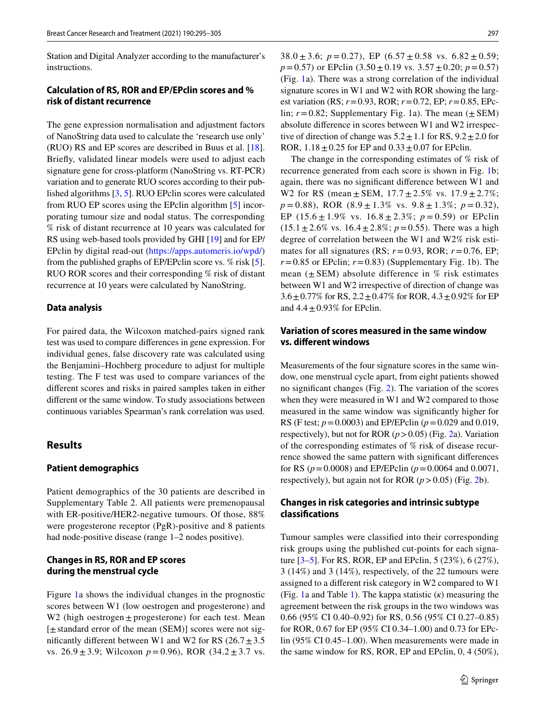Station and Digital Analyzer according to the manufacturer's instructions.

## **Calculation of RS, ROR and EP/EPclin scores and % risk of distant recurrence**

The gene expression normalisation and adjustment factors of NanoString data used to calculate the 'research use only' (RUO) RS and EP scores are described in Buus et al. [\[18](#page-9-16)]. Briefy, validated linear models were used to adjust each signature gene for cross-platform (NanoString vs. RT-PCR) variation and to generate RUO scores according to their published algorithms [[3,](#page-9-1) [5](#page-9-3)]. RUO EPclin scores were calculated from RUO EP scores using the EPclin algorithm [\[5](#page-9-3)] incorporating tumour size and nodal status. The corresponding % risk of distant recurrence at 10 years was calculated for RS using web-based tools provided by GHI [[19\]](#page-9-17) and for EP/ EPclin by digital read-out ([https://apps.automeris.io/wpd/\)](https://apps.automeris.io/wpd/) from the published graphs of EP/EPclin score vs. % risk [\[5](#page-9-3)]. RUO ROR scores and their corresponding % risk of distant recurrence at 10 years were calculated by NanoString.

#### **Data analysis**

For paired data, the Wilcoxon matched-pairs signed rank test was used to compare diferences in gene expression. For individual genes, false discovery rate was calculated using the Benjamini–Hochberg procedure to adjust for multiple testing. The F test was used to compare variances of the diferent scores and risks in paired samples taken in either diferent or the same window. To study associations between continuous variables Spearman's rank correlation was used.

# **Results**

#### **Patient demographics**

Patient demographics of the 30 patients are described in Supplementary Table 2. All patients were premenopausal with ER-positive/HER2-negative tumours. Of those, 88% were progesterone receptor (PgR)-positive and 8 patients had node-positive disease (range 1–2 nodes positive).

## **Changes in RS, ROR and EP scores during the menstrual cycle**

Figure [1](#page-3-0)a shows the individual changes in the prognostic scores between W1 (low oestrogen and progesterone) and W2 (high oestrogen  $\pm$  progesterone) for each test. Mean [±standard error of the mean (SEM)] scores were not significantly different between W1 and W2 for RS  $(26.7 \pm 3.5)$ vs.  $26.9 \pm 3.9$ ; Wilcoxon  $p = 0.96$ ), ROR  $(34.2 \pm 3.7 \text{ vs.})$ 

38.0  $\pm$  3.6; *p* = 0.27), EP (6.57  $\pm$  0.58 vs. 6.82  $\pm$  0.59; *p*=0.57) or EPclin (3.50±0.19 vs. 3.57±0.20; *p*=0.57) (Fig. [1a](#page-3-0)). There was a strong correlation of the individual signature scores in W1 and W2 with ROR showing the largest variation (RS; *r*=0.93, ROR; *r*=0.72, EP; *r*=0.85, EPclin;  $r = 0.82$ ; Supplementary Fig. 1a). The mean  $(\pm$  SEM) absolute diference in scores between W1 and W2 irrespective of direction of change was  $5.2 \pm 1.1$  for RS,  $9.2 \pm 2.0$  for ROR,  $1.18 \pm 0.25$  for EP and  $0.33 \pm 0.07$  for EPclin.

The change in the corresponding estimates of % risk of recurrence generated from each score is shown in Fig. [1](#page-3-0)b; again, there was no signifcant diference between W1 and W2 for RS (mean  $\pm$  SEM,  $17.7 \pm 2.5\%$  vs.  $17.9 \pm 2.7\%$ ; *p* = 0.88), ROR (8.9 ± 1.3% vs. 9.8 ± 1.3%; *p* = 0.32), EP  $(15.6 \pm 1.9\% \text{ vs. } 16.8 \pm 2.3\%; p = 0.59) \text{ or EPelin}$  $(15.1 \pm 2.6\% \text{ vs. } 16.4 \pm 2.8\%; p=0.55)$ . There was a high degree of correlation between the W1 and W2% risk estimates for all signatures (RS;  $r = 0.93$ , ROR;  $r = 0.76$ , EP;  $r=0.85$  or EPclin;  $r=0.83$ ) (Supplementary Fig. 1b). The mean  $(\pm$  SEM) absolute difference in % risk estimates between W1 and W2 irrespective of direction of change was  $3.6 \pm 0.77\%$  for RS,  $2.2 \pm 0.47\%$  for ROR,  $4.3 \pm 0.92\%$  for EP and  $4.4 \pm 0.93\%$  for EPclin.

## **Variation of scores measured in the same window vs. diferent windows**

Measurements of the four signature scores in the same window, one menstrual cycle apart, from eight patients showed no signifcant changes (Fig. [2](#page-4-0)). The variation of the scores when they were measured in W1 and W2 compared to those measured in the same window was signifcantly higher for RS (F test; *p*=0.0003) and EP/EPclin (*p*=0.029 and 0.019, respectively), but not for ROR (*p*>0.05) (Fig. [2a](#page-4-0)). Variation of the corresponding estimates of % risk of disease recurrence showed the same pattern with signifcant diferences for RS (*p*=0.0008) and EP/EPclin (*p*=0.0064 and 0.0071, respectively), but again not for ROR  $(p > 0.05)$  (Fig. [2b](#page-4-0)).

## **Changes in risk categories and intrinsic subtype classifcations**

Tumour samples were classifed into their corresponding risk groups using the published cut-points for each signature [[3–](#page-9-1)[5\]](#page-9-3). For RS, ROR, EP and EPclin, 5 (23%), 6 (27%), 3 (14%) and 3 (14%), respectively, of the 22 tumours were assigned to a diferent risk category in W2 compared to W1 (Fig. [1a](#page-3-0) and Table [1](#page-5-0)). The kappa statistic (*κ*) measuring the agreement between the risk groups in the two windows was 0.66 (95% CI 0.40–0.92) for RS, 0.56 (95% CI 0.27–0.85) for ROR, 0.67 for EP (95% CI 0.34–1.00) and 0.73 for EPclin (95% CI 0.45–1.00). When measurements were made in the same window for RS, ROR, EP and EPclin, 0, 4 (50%),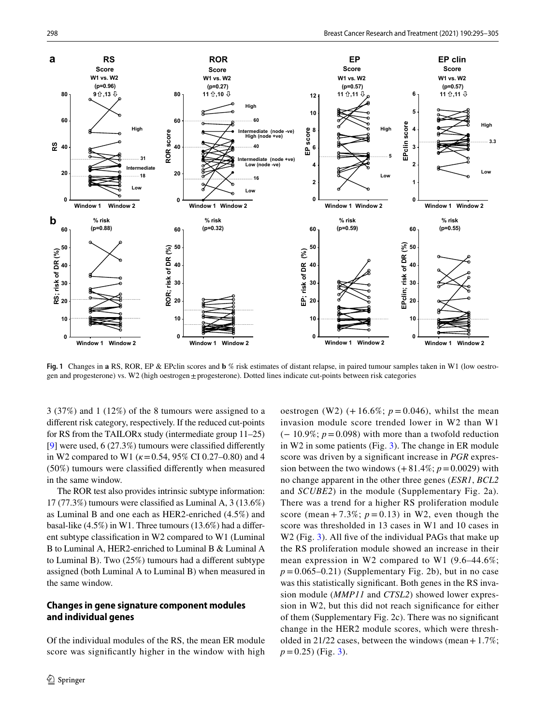

<span id="page-3-0"></span>**Fig. 1** Changes in **a** RS, ROR, EP & EPclin scores and **b** % risk estimates of distant relapse, in paired tumour samples taken in W1 (low oestrogen and progesterone) vs. W2 (high oestrogen±progesterone). Dotted lines indicate cut-points between risk categories

3 (37%) and 1 (12%) of the 8 tumours were assigned to a diferent risk category, respectively. If the reduced cut-points for RS from the TAILORx study (intermediate group 11–25) [\[9](#page-9-7)] were used, 6 (27.3%) tumours were classifed diferently in W2 compared to W1 (*κ*=0.54, 95% CI 0.27–0.80) and 4 (50%) tumours were classifed diferently when measured in the same window.

The ROR test also provides intrinsic subtype information: 17 (77.3%) tumours were classifed as Luminal A, 3 (13.6%) as Luminal B and one each as HER2-enriched (4.5%) and basal-like (4.5%) in W1. Three tumours (13.6%) had a diferent subtype classifcation in W2 compared to W1 (Luminal B to Luminal A, HER2-enriched to Luminal B & Luminal A to Luminal B). Two (25%) tumours had a diferent subtype assigned (both Luminal A to Luminal B) when measured in the same window.

## **Changes in gene signature component modules and individual genes**

Of the individual modules of the RS, the mean ER module score was signifcantly higher in the window with high oestrogen (W2)  $(+16.6\%; p=0.046)$ , whilst the mean invasion module score trended lower in W2 than W1 (− 10.9%; *p*=0.098) with more than a twofold reduction in W2 in some patients (Fig. [3\)](#page-6-0). The change in ER module score was driven by a signifcant increase in *PGR* expression between the two windows  $(+81.4\%; p=0.0029)$  with no change apparent in the other three genes (*ESR1*, *BCL2* and *SCUBE2*) in the module (Supplementary Fig. 2a). There was a trend for a higher RS proliferation module score (mean + 7.3%;  $p = 0.13$ ) in W2, even though the score was thresholded in 13 cases in W1 and 10 cases in W2 (Fig. [3](#page-6-0)). All five of the individual PAGs that make up the RS proliferation module showed an increase in their mean expression in W2 compared to W1 (9.6–44.6%;  $p = 0.065 - 0.21$ ) (Supplementary Fig. 2b), but in no case was this statistically signifcant. Both genes in the RS invasion module (*MMP11* and *CTSL2*) showed lower expression in W2, but this did not reach signifcance for either of them (Supplementary Fig. 2c). There was no signifcant change in the HER2 module scores, which were thresholded in 21/22 cases, between the windows (mean +  $1.7\%$ ;  $p=0.25$ ) (Fig. [3](#page-6-0)).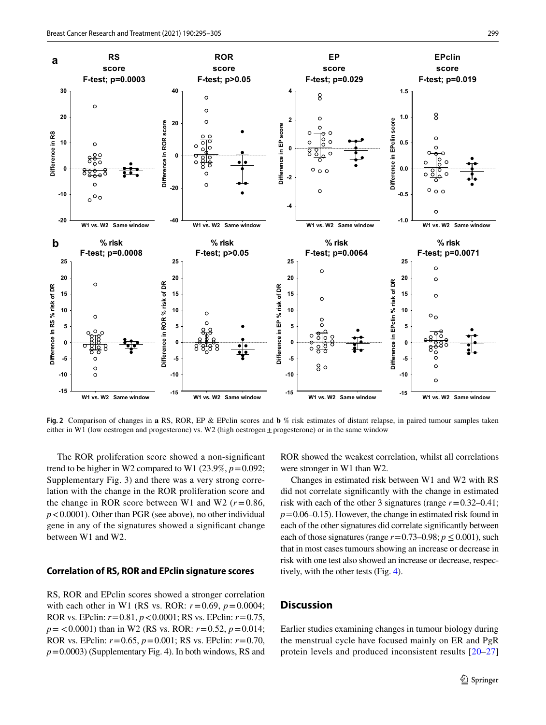**a**

**b**

**Difference in RS % risk of DR**

Difference in RS % risk of DR

**-10**

**0**

**10**

**Difference in RS**

Difference in RS

**20**

**30**



<span id="page-4-0"></span>**Fig. 2** Comparison of changes in **a** RS, ROR, EP & EPclin scores and **b** % risk estimates of distant relapse, in paired tumour samples taken either in W1 (low oestrogen and progesterone) vs. W2 (high oestrogen $\pm$  progesterone) or in the same window

**-10 -5 0 5 10**

**W1 vs. W2 Same window -15**

 $\frac{0}{0}$ 

 $8<sub>o</sub>$ 

ి

**W1 vs. W2 Same window -15**

 $\epsilon$ 

 $\epsilon$ 

The ROR proliferation score showed a non-signifcant trend to be higher in W2 compared to W1 (23.9%,  $p = 0.092$ ; Supplementary Fig. 3) and there was a very strong correlation with the change in the ROR proliferation score and the change in ROR score between W1 and W2 ( $r = 0.86$ , *p*<0.0001). Other than PGR (see above), no other individual gene in any of the signatures showed a signifcant change between W1 and W2.

**-10 -5 0 5 10**

**W1 vs. W2 Same window**

 $\circ$ 

 $\Omega$  $\epsilon$ 

#### **Correlation of RS, ROR and EPclin signature scores**

RS, ROR and EPclin scores showed a stronger correlation with each other in W1 (RS vs. ROR:  $r = 0.69$ ,  $p = 0.0004$ ; ROR vs. EPclin: *r*=0.81, *p*<0.0001; RS vs. EPclin: *r*=0.75, *p*= <0.0001) than in W2 (RS vs. ROR: *r*=0.52, *p*=0.014; ROR vs. EPclin: *r*=0.65, *p*=0.001; RS vs. EPclin: *r*=0.70, *p*=0.0003) (Supplementary Fig. 4). In both windows, RS and ROR showed the weakest correlation, whilst all correlations were stronger in W1 than W2.

**-10 -5 0 5 10**

**W1 vs. W2 Same window -15**

 $\circ$  o

 $\Omega$ 

 $\circ$ 

Changes in estimated risk between W1 and W2 with RS did not correlate signifcantly with the change in estimated risk with each of the other 3 signatures (range *r*=0.32–0.41;  $p=0.06-0.15$ . However, the change in estimated risk found in each of the other signatures did correlate signifcantly between each of those signatures (range  $r=0.73-0.98; p \le 0.001$ ), such that in most cases tumours showing an increase or decrease in risk with one test also showed an increase or decrease, respectively, with the other tests (Fig. [4\)](#page-7-0).

## **Discussion**

Earlier studies examining changes in tumour biology during the menstrual cycle have focused mainly on ER and PgR protein levels and produced inconsistent results [[20](#page-9-18)–[27\]](#page-9-19)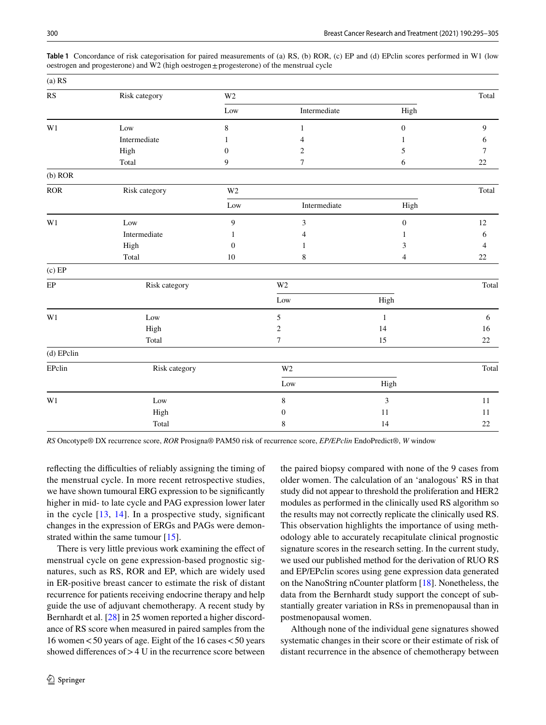| $(a)$ RS               |               |                |                  |                  |                |
|------------------------|---------------|----------------|------------------|------------------|----------------|
| $\mathbf{R}\mathbf{S}$ | Risk category | W <sub>2</sub> |                  |                  | Total          |
|                        |               | Low            | Intermediate     | High             |                |
| W1                     | Low           | $\,8\,$        | $\mathbf{1}$     | $\boldsymbol{0}$ | $\overline{9}$ |
|                        | Intermediate  | 1              | 4                | 1                | 6              |
|                        | High          | $\mathbf{0}$   | 2                | 5                | 7              |
|                        | Total         | 9              | $\tau$           | 6                | 22             |
| $(b)$ ROR              |               |                |                  |                  |                |
| <b>ROR</b>             | Risk category | $\rm W2$       |                  |                  | Total          |
|                        |               | Low            | Intermediate     | High             |                |
| W1                     | Low           | 9              | 3                | $\boldsymbol{0}$ | $12\,$         |
|                        | Intermediate  | 1              | 4                | 1                | 6              |
|                        | High          | $\Omega$       | 1                | 3                | 4              |
|                        | Total         | 10             | 8                | $\overline{4}$   | $22\,$         |
| $(c)$ EP               |               |                |                  |                  |                |
| $\rm EP$               | Risk category |                | $\rm W2$         |                  | Total          |
|                        |               |                | $_{\rm Low}$     | High             |                |
| W1                     | Low           |                | 5                | $\mathbf{1}$     | 6              |
|                        | High          |                | 2                | 14               | 16             |
|                        | Total         |                | $\tau$           | 15               | $22\,$         |
| (d) EPclin             |               |                |                  |                  |                |
| EPclin                 | Risk category |                | W <sub>2</sub>   |                  | Total          |
|                        |               |                | Low              | High             |                |
| W1                     | Low           |                | $\,8\,$          | $\mathfrak{Z}$   | 11             |
|                        | High          |                | $\boldsymbol{0}$ | $11\,$           | 11             |
|                        | Total         |                | 8                | 14               | $22\,$         |

<span id="page-5-0"></span>**Table 1** Concordance of risk categorisation for paired measurements of (a) RS, (b) ROR, (c) EP and (d) EPclin scores performed in W1 (low oestrogen and progesterone) and W2 (high oestrogen±progesterone) of the menstrual cycle

*RS* Oncotype® DX recurrence score, *ROR* Prosigna® PAM50 risk of recurrence score, *EP/EPclin* EndoPredict®, *W* window

reflecting the difficulties of reliably assigning the timing of the menstrual cycle. In more recent retrospective studies, we have shown tumoural ERG expression to be signifcantly higher in mid- to late cycle and PAG expression lower later in the cycle  $[13, 14]$  $[13, 14]$  $[13, 14]$  $[13, 14]$  $[13, 14]$ . In a prospective study, significant changes in the expression of ERGs and PAGs were demon-strated within the same tumour [[15\]](#page-9-13).

There is very little previous work examining the efect of menstrual cycle on gene expression-based prognostic signatures, such as RS, ROR and EP, which are widely used in ER-positive breast cancer to estimate the risk of distant recurrence for patients receiving endocrine therapy and help guide the use of adjuvant chemotherapy. A recent study by Bernhardt et al. [[28\]](#page-9-20) in 25 women reported a higher discordance of RS score when measured in paired samples from the 16 women<50 years of age. Eight of the 16 cases<50 years showed differences of  $> 4$  U in the recurrence score between the paired biopsy compared with none of the 9 cases from older women. The calculation of an 'analogous' RS in that study did not appear to threshold the proliferation and HER2 modules as performed in the clinically used RS algorithm so the results may not correctly replicate the clinically used RS. This observation highlights the importance of using methodology able to accurately recapitulate clinical prognostic signature scores in the research setting. In the current study, we used our published method for the derivation of RUO RS and EP/EPclin scores using gene expression data generated on the NanoString nCounter platform [\[18](#page-9-16)]. Nonetheless, the data from the Bernhardt study support the concept of substantially greater variation in RSs in premenopausal than in postmenopausal women.

Although none of the individual gene signatures showed systematic changes in their score or their estimate of risk of distant recurrence in the absence of chemotherapy between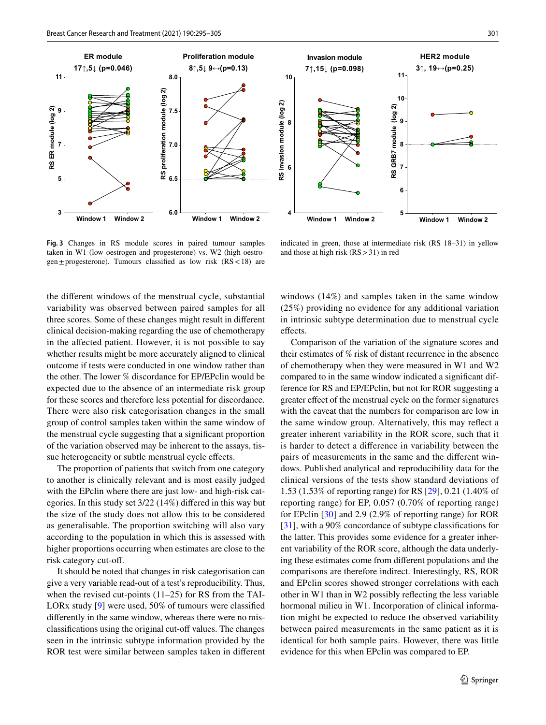

indicated in green, those at intermediate risk (RS 18–31) in yellow and those at high risk (RS>31) in red

<span id="page-6-0"></span>**Fig. 3** Changes in RS module scores in paired tumour samples taken in W1 (low oestrogen and progesterone) vs. W2 (high oestrogen $\pm$ progesterone). Tumours classified as low risk (RS < 18) are

the diferent windows of the menstrual cycle, substantial variability was observed between paired samples for all three scores. Some of these changes might result in diferent clinical decision-making regarding the use of chemotherapy in the afected patient. However, it is not possible to say whether results might be more accurately aligned to clinical outcome if tests were conducted in one window rather than the other. The lower % discordance for EP/EPclin would be expected due to the absence of an intermediate risk group for these scores and therefore less potential for discordance. There were also risk categorisation changes in the small group of control samples taken within the same window of the menstrual cycle suggesting that a signifcant proportion of the variation observed may be inherent to the assays, tissue heterogeneity or subtle menstrual cycle efects.

The proportion of patients that switch from one category to another is clinically relevant and is most easily judged with the EPclin where there are just low- and high-risk categories. In this study set 3/22 (14%) difered in this way but the size of the study does not allow this to be considered as generalisable. The proportion switching will also vary according to the population in which this is assessed with higher proportions occurring when estimates are close to the risk category cut-of.

It should be noted that changes in risk categorisation can give a very variable read-out of a test's reproducibility. Thus, when the revised cut-points (11–25) for RS from the TAI-LORx study [\[9](#page-9-7)] were used, 50% of tumours were classifed diferently in the same window, whereas there were no misclassifications using the original cut-off values. The changes seen in the intrinsic subtype information provided by the ROR test were similar between samples taken in diferent windows (14%) and samples taken in the same window (25%) providing no evidence for any additional variation in intrinsic subtype determination due to menstrual cycle effects.

Comparison of the variation of the signature scores and their estimates of % risk of distant recurrence in the absence of chemotherapy when they were measured in W1 and W2 compared to in the same window indicated a signifcant difference for RS and EP/EPclin, but not for ROR suggesting a greater efect of the menstrual cycle on the former signatures with the caveat that the numbers for comparison are low in the same window group. Alternatively, this may refect a greater inherent variability in the ROR score, such that it is harder to detect a diference in variability between the pairs of measurements in the same and the diferent windows. Published analytical and reproducibility data for the clinical versions of the tests show standard deviations of 1.53 (1.53% of reporting range) for RS [[29\]](#page-9-21), 0.21 (1.40% of reporting range) for EP, 0.057 (0.70% of reporting range) for EPclin [[30\]](#page-9-22) and 2.9 (2.9% of reporting range) for ROR [[31\]](#page-9-23), with a 90% concordance of subtype classifications for the latter. This provides some evidence for a greater inherent variability of the ROR score, although the data underlying these estimates come from diferent populations and the comparisons are therefore indirect. Interestingly, RS, ROR and EPclin scores showed stronger correlations with each other in W1 than in W2 possibly refecting the less variable hormonal milieu in W1. Incorporation of clinical information might be expected to reduce the observed variability between paired measurements in the same patient as it is identical for both sample pairs. However, there was little evidence for this when EPclin was compared to EP.

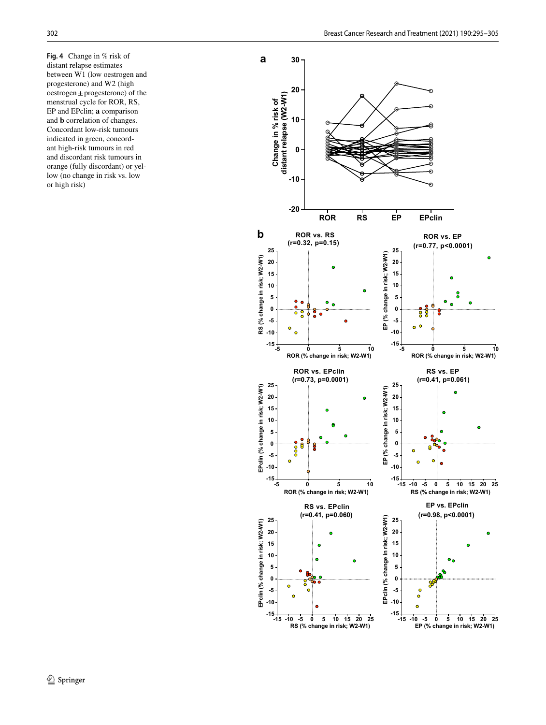<span id="page-7-0"></span>**Fig. 4** Change in % risk of distant relapse estimates between W1 (low oestrogen and progesterone) and W2 (high oestrogen ±progesterone) of the menstrual cycle for ROR, RS, EP and EPclin; **a** comparison and **b** correlation of changes. Concordant low-risk tumours indicated in green, concord ant high-risk tumours in red and discordant risk tumours in orange (fully discordant) or yel low (no change in risk vs. low or high risk)

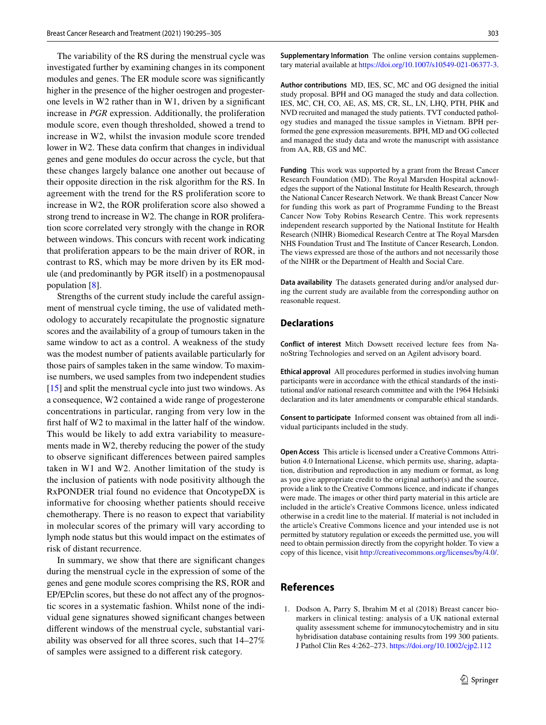The variability of the RS during the menstrual cycle was investigated further by examining changes in its component modules and genes. The ER module score was signifcantly higher in the presence of the higher oestrogen and progesterone levels in W2 rather than in W1, driven by a signifcant increase in *PGR* expression. Additionally, the proliferation module score, even though thresholded, showed a trend to increase in W2, whilst the invasion module score trended lower in W2. These data confrm that changes in individual genes and gene modules do occur across the cycle, but that these changes largely balance one another out because of their opposite direction in the risk algorithm for the RS. In agreement with the trend for the RS proliferation score to increase in W2, the ROR proliferation score also showed a strong trend to increase in W2. The change in ROR proliferation score correlated very strongly with the change in ROR between windows. This concurs with recent work indicating that proliferation appears to be the main driver of ROR, in contrast to RS, which may be more driven by its ER module (and predominantly by PGR itself) in a postmenopausal population [\[8](#page-9-6)].

Strengths of the current study include the careful assignment of menstrual cycle timing, the use of validated methodology to accurately recapitulate the prognostic signature scores and the availability of a group of tumours taken in the same window to act as a control. A weakness of the study was the modest number of patients available particularly for those pairs of samples taken in the same window. To maximise numbers, we used samples from two independent studies [\[15](#page-9-13)] and split the menstrual cycle into just two windows. As a consequence, W2 contained a wide range of progesterone concentrations in particular, ranging from very low in the frst half of W2 to maximal in the latter half of the window. This would be likely to add extra variability to measurements made in W2, thereby reducing the power of the study to observe signifcant diferences between paired samples taken in W1 and W2. Another limitation of the study is the inclusion of patients with node positivity although the RxPONDER trial found no evidence that OncotypeDX is informative for choosing whether patients should receive chemotherapy. There is no reason to expect that variability in molecular scores of the primary will vary according to lymph node status but this would impact on the estimates of risk of distant recurrence.

In summary, we show that there are signifcant changes during the menstrual cycle in the expression of some of the genes and gene module scores comprising the RS, ROR and EP/EPclin scores, but these do not afect any of the prognostic scores in a systematic fashion. Whilst none of the individual gene signatures showed signifcant changes between diferent windows of the menstrual cycle, substantial variability was observed for all three scores, such that 14–27% of samples were assigned to a diferent risk category.

**Supplementary Information** The online version contains supplementary material available at<https://doi.org/10.1007/s10549-021-06377-3>.

**Author contributions** MD, IES, SC, MC and OG designed the initial study proposal. BPH and OG managed the study and data collection. IES, MC, CH, CO, AE, AS, MS, CR, SL, LN, LHQ, PTH, PHK and NVD recruited and managed the study patients. TVT conducted pathology studies and managed the tissue samples in Vietnam. BPH performed the gene expression measurements. BPH, MD and OG collected and managed the study data and wrote the manuscript with assistance from AA, RB, GS and MC.

**Funding** This work was supported by a grant from the Breast Cancer Research Foundation (MD). The Royal Marsden Hospital acknowledges the support of the National Institute for Health Research, through the National Cancer Research Network. We thank Breast Cancer Now for funding this work as part of Programme Funding to the Breast Cancer Now Toby Robins Research Centre. This work represents independent research supported by the National Institute for Health Research (NIHR) Biomedical Research Centre at The Royal Marsden NHS Foundation Trust and The Institute of Cancer Research, London. The views expressed are those of the authors and not necessarily those of the NIHR or the Department of Health and Social Care.

**Data availability** The datasets generated during and/or analysed during the current study are available from the corresponding author on reasonable request.

#### **Declarations**

**Conflict of interest** Mitch Dowsett received lecture fees from NanoString Technologies and served on an Agilent advisory board.

**Ethical approval** All procedures performed in studies involving human participants were in accordance with the ethical standards of the institutional and/or national research committee and with the 1964 Helsinki declaration and its later amendments or comparable ethical standards.

**Consent to participate** Informed consent was obtained from all individual participants included in the study.

**Open Access** This article is licensed under a Creative Commons Attribution 4.0 International License, which permits use, sharing, adaptation, distribution and reproduction in any medium or format, as long as you give appropriate credit to the original author(s) and the source, provide a link to the Creative Commons licence, and indicate if changes were made. The images or other third party material in this article are included in the article's Creative Commons licence, unless indicated otherwise in a credit line to the material. If material is not included in the article's Creative Commons licence and your intended use is not permitted by statutory regulation or exceeds the permitted use, you will need to obtain permission directly from the copyright holder. To view a copy of this licence, visit<http://creativecommons.org/licenses/by/4.0/>.

# **References**

<span id="page-8-0"></span>1. Dodson A, Parry S, Ibrahim M et al (2018) Breast cancer biomarkers in clinical testing: analysis of a UK national external quality assessment scheme for immunocytochemistry and in situ hybridisation database containing results from 199 300 patients. J Pathol Clin Res 4:262–273.<https://doi.org/10.1002/cjp2.112>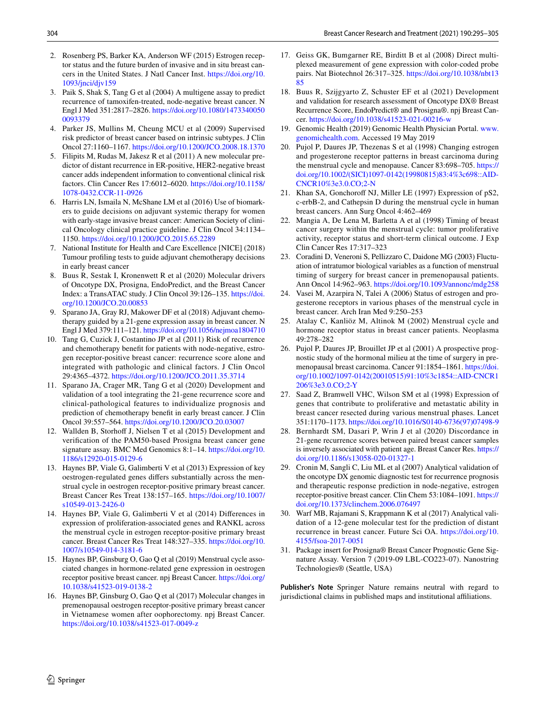- <span id="page-9-0"></span>2. Rosenberg PS, Barker KA, Anderson WF (2015) Estrogen receptor status and the future burden of invasive and in situ breast cancers in the United States. J Natl Cancer Inst. [https://doi.org/10.](https://doi.org/10.1093/jnci/djv159) [1093/jnci/djv159](https://doi.org/10.1093/jnci/djv159)
- <span id="page-9-1"></span>3. Paik S, Shak S, Tang G et al (2004) A multigene assay to predict recurrence of tamoxifen-treated, node-negative breast cancer. N Engl J Med 351:2817–2826. [https://doi.org/10.1080/1473340050](https://doi.org/10.1080/14733400500093379) [0093379](https://doi.org/10.1080/14733400500093379)
- <span id="page-9-2"></span>4. Parker JS, Mullins M, Cheung MCU et al (2009) Supervised risk predictor of breast cancer based on intrinsic subtypes. J Clin Oncol 27:1160–1167.<https://doi.org/10.1200/JCO.2008.18.1370>
- <span id="page-9-3"></span>5. Filipits M, Rudas M, Jakesz R et al (2011) A new molecular predictor of distant recurrence in ER-positive, HER2-negative breast cancer adds independent information to conventional clinical risk factors. Clin Cancer Res 17:6012–6020. [https://doi.org/10.1158/](https://doi.org/10.1158/1078-0432.CCR-11-0926) [1078-0432.CCR-11-0926](https://doi.org/10.1158/1078-0432.CCR-11-0926)
- <span id="page-9-4"></span>6. Harris LN, Ismaila N, McShane LM et al (2016) Use of biomarkers to guide decisions on adjuvant systemic therapy for women with early-stage invasive breast cancer: American Society of clinical Oncology clinical practice guideline. J Clin Oncol 34:1134– 1150.<https://doi.org/10.1200/JCO.2015.65.2289>
- <span id="page-9-5"></span>7. National Institute for Health and Care Excellence [NICE] (2018) Tumour profling tests to guide adjuvant chemotherapy decisions in early breast cancer
- <span id="page-9-6"></span>8. Buus R, Sestak I, Kronenwett R et al (2020) Molecular drivers of Oncotype DX, Prosigna, EndoPredict, and the Breast Cancer Index: a TransATAC study. J Clin Oncol 39:126–135. [https://doi.](https://doi.org/10.1200/JCO.20.00853) [org/10.1200/JCO.20.00853](https://doi.org/10.1200/JCO.20.00853)
- <span id="page-9-7"></span>9. Sparano JA, Gray RJ, Makower DF et al (2018) Adjuvant chemotherapy guided by a 21-gene expression assay in breast cancer. N Engl J Med 379:111–121.<https://doi.org/10.1056/nejmoa1804710>
- <span id="page-9-8"></span>10. Tang G, Cuzick J, Costantino JP et al (2011) Risk of recurrence and chemotherapy beneft for patients with node-negative, estrogen receptor-positive breast cancer: recurrence score alone and integrated with pathologic and clinical factors. J Clin Oncol 29:4365–4372. <https://doi.org/10.1200/JCO.2011.35.3714>
- <span id="page-9-9"></span>11. Sparano JA, Crager MR, Tang G et al (2020) Development and validation of a tool integrating the 21-gene recurrence score and clinical-pathological features to individualize prognosis and prediction of chemotherapy beneft in early breast cancer. J Clin Oncol 39:557–564.<https://doi.org/10.1200/JCO.20.03007>
- <span id="page-9-10"></span>12. Wallden B, Storhoff J, Nielsen T et al (2015) Development and verifcation of the PAM50-based Prosigna breast cancer gene signature assay. BMC Med Genomics 8:1–14. [https://doi.org/10.](https://doi.org/10.1186/s12920-015-0129-6) [1186/s12920-015-0129-6](https://doi.org/10.1186/s12920-015-0129-6)
- <span id="page-9-11"></span>13. Haynes BP, Viale G, Galimberti V et al (2013) Expression of key oestrogen-regulated genes difers substantially across the menstrual cycle in oestrogen receptor-positive primary breast cancer. Breast Cancer Res Treat 138:157–165. [https://doi.org/10.1007/](https://doi.org/10.1007/s10549-013-2426-0) [s10549-013-2426-0](https://doi.org/10.1007/s10549-013-2426-0)
- <span id="page-9-12"></span>14. Haynes BP, Viale G, Galimberti V et al (2014) Diferences in expression of proliferation-associated genes and RANKL across the menstrual cycle in estrogen receptor-positive primary breast cancer. Breast Cancer Res Treat 148:327–335. [https://doi.org/10.](https://doi.org/10.1007/s10549-014-3181-6) [1007/s10549-014-3181-6](https://doi.org/10.1007/s10549-014-3181-6)
- <span id="page-9-13"></span>15. Haynes BP, Ginsburg O, Gao Q et al (2019) Menstrual cycle associated changes in hormone-related gene expression in oestrogen receptor positive breast cancer. npj Breast Cancer. [https://doi.org/](https://doi.org/10.1038/s41523-019-0138-2) [10.1038/s41523-019-0138-2](https://doi.org/10.1038/s41523-019-0138-2)
- <span id="page-9-14"></span>16. Haynes BP, Ginsburg O, Gao Q et al (2017) Molecular changes in premenopausal oestrogen receptor-positive primary breast cancer in Vietnamese women after oophorectomy. npj Breast Cancer. <https://doi.org/10.1038/s41523-017-0049-z>
- <span id="page-9-15"></span>17. Geiss GK, Bumgarner RE, Birditt B et al (2008) Direct multiplexed measurement of gene expression with color-coded probe pairs. Nat Biotechnol 26:317–325. [https://doi.org/10.1038/nbt13](https://doi.org/10.1038/nbt1385) [85](https://doi.org/10.1038/nbt1385)
- <span id="page-9-16"></span>18. Buus R, Szijgyarto Z, Schuster EF et al (2021) Development and validation for research assessment of Oncotype DX® Breast Recurrence Score, EndoPredict® and Prosigna®. npj Breast Cancer.<https://doi.org/10.1038/s41523-021-00216-w>
- <span id="page-9-17"></span>19. Genomic Health (2019) Genomic Health Physician Portal. [www.](http://www.genomichealth.com) [genomichealth.com](http://www.genomichealth.com). Accessed 19 May 2019
- <span id="page-9-18"></span>20. Pujol P, Daures JP, Thezenas S et al (1998) Changing estrogen and progesterone receptor patterns in breast carcinoma during the menstrual cycle and menopause. Cancer 83:698–705. [https://](https://doi.org/10.1002/(SICI)1097-0142(19980815)83:4%3c698::AID-CNCR10%3e3.0.CO;2-N) [doi.org/10.1002/\(SICI\)1097-0142\(19980815\)83:4%3c698::AID-](https://doi.org/10.1002/(SICI)1097-0142(19980815)83:4%3c698::AID-CNCR10%3e3.0.CO;2-N)[CNCR10%3e3.0.CO;2-N](https://doi.org/10.1002/(SICI)1097-0142(19980815)83:4%3c698::AID-CNCR10%3e3.0.CO;2-N)
- 21. Khan SA, Gonchorof NJ, Miller LE (1997) Expression of pS2, c-erbB-2, and Cathepsin D during the menstrual cycle in human breast cancers. Ann Surg Oncol 4:462–469
- 22. Mangia A, De Lena M, Barletta A et al (1998) Timing of breast cancer surgery within the menstrual cycle: tumor proliferative activity, receptor status and short-term clinical outcome. J Exp Clin Cancer Res 17:317–323
- 23. Coradini D, Veneroni S, Pellizzaro C, Daidone MG (2003) Fluctuation of intratumor biological variables as a function of menstrual timing of surgery for breast cancer in premenopausal patients. Ann Oncol 14:962–963.<https://doi.org/10.1093/annonc/mdg258>
- 24. Vasei M, Azarpira N, Talei A (2006) Status of estrogen and progesterone receptors in various phases of the menstrual cycle in breast cancer. Arch Iran Med 9:250–253
- 25. Atalay C, Kanliöz M, Altinok M (2002) Menstrual cycle and hormone receptor status in breast cancer patients. Neoplasma 49:278–282
- 26. Pujol P, Daures JP, Brouillet JP et al (2001) A prospective prognostic study of the hormonal milieu at the time of surgery in premenopausal breast carcinoma. Cancer 91:1854–1861. [https://doi.](https://doi.org/10.1002/1097-0142(20010515)91:10%3c1854::AID-CNCR1206%3e3.0.CO;2-Y) [org/10.1002/1097-0142\(20010515\)91:10%3c1854::AID-CNCR1](https://doi.org/10.1002/1097-0142(20010515)91:10%3c1854::AID-CNCR1206%3e3.0.CO;2-Y) [206%3e3.0.CO;2-Y](https://doi.org/10.1002/1097-0142(20010515)91:10%3c1854::AID-CNCR1206%3e3.0.CO;2-Y)
- <span id="page-9-19"></span>27. Saad Z, Bramwell VHC, Wilson SM et al (1998) Expression of genes that contribute to proliferative and metastatic ability in breast cancer resected during various menstrual phases. Lancet 351:1170–1173. [https://doi.org/10.1016/S0140-6736\(97\)07498-9](https://doi.org/10.1016/S0140-6736(97)07498-9)
- <span id="page-9-20"></span>28. Bernhardt SM, Dasari P, Wrin J et al (2020) Discordance in 21-gene recurrence scores between paired breast cancer samples is inversely associated with patient age. Breast Cancer Res. [https://](https://doi.org/10.1186/s13058-020-01327-1) [doi.org/10.1186/s13058-020-01327-1](https://doi.org/10.1186/s13058-020-01327-1)
- <span id="page-9-21"></span>29. Cronin M, Sangli C, Liu ML et al (2007) Analytical validation of the oncotype DX genomic diagnostic test for recurrence prognosis and therapeutic response prediction in node-negative, estrogen receptor-positive breast cancer. Clin Chem 53:1084–1091. [https://](https://doi.org/10.1373/clinchem.2006.076497) [doi.org/10.1373/clinchem.2006.076497](https://doi.org/10.1373/clinchem.2006.076497)
- <span id="page-9-22"></span>30. Warf MB, Rajamani S, Krappmann K et al (2017) Analytical validation of a 12-gene molecular test for the prediction of distant recurrence in breast cancer. Future Sci OA. [https://doi.org/10.](https://doi.org/10.4155/fsoa-2017-0051) [4155/fsoa-2017-0051](https://doi.org/10.4155/fsoa-2017-0051)
- <span id="page-9-23"></span>31. Package insert for Prosigna® Breast Cancer Prognostic Gene Signature Assay. Version 7 (2019-09 LBL-CO223-07). Nanostring Technologies® (Seattle, USA)

**Publisher's Note** Springer Nature remains neutral with regard to jurisdictional claims in published maps and institutional afliations.